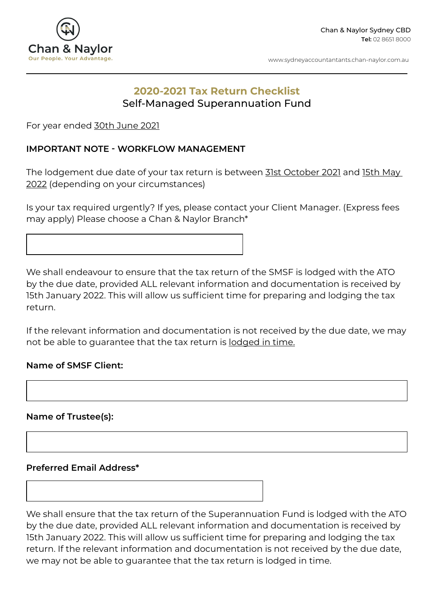

www.sydneyaccountantants.chan-naylor.com.au

# **2020-2021 Tax Return Checklist**  Self-Managed Superannuation Fund

For year ended 30th June 2021

## **IMPORTANT NOTE - WORKFLOW MANAGEMENT**

The lodgement due date of your tax return is between 31st October 2021 and 15th May 2022 (depending on your circumstances)

Is your tax required urgently? If yes, please contact your Client Manager. (Express fees may apply) Please choose a Chan & Naylor Branch\*

We shall endeavour to ensure that the tax return of the SMSF is lodged with the ATO by the due date, provided ALL relevant information and documentation is received by 15th January 2022. This will allow us sufficient time for preparing and lodging the tax return.

If the relevant information and documentation is not received by the due date, we may not be able to guarantee that the tax return is lodged in time.

#### **Name of SMSF Client:**

**Name of Trustee(s):**

#### **Preferred Email Address\***

We shall ensure that the tax return of the Superannuation Fund is lodged with the ATO by the due date, provided ALL relevant information and documentation is received by 15th January 2022. This will allow us sufficient time for preparing and lodging the tax return. If the relevant information and documentation is not received by the due date, we may not be able to guarantee that the tax return is lodged in time.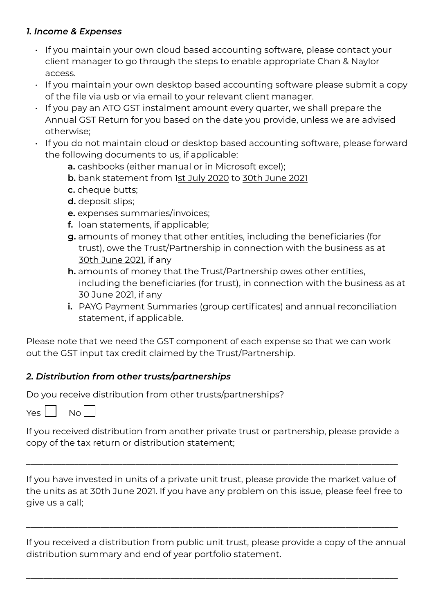# *1. Income & Expenses*

- If you maintain your own cloud based accounting software, please contact your client manager to go through the steps to enable appropriate Chan & Naylor access.
- If you maintain your own desktop based accounting software please submit a copy of the file via usb or via email to your relevant client manager.
- If you pay an ATO GST instalment amount every quarter, we shall prepare the Annual GST Return for you based on the date you provide, unless we are advised otherwise;
- If you do not maintain cloud or desktop based accounting software, please forward the following documents to us, if applicable:
	- **a.** cashbooks (either manual or in Microsoft excel);
	- **b.** bank statement from 1st July 2020 to 30th June 2021
	- **c.** cheque butts;
	- **d.** deposit slips;
	- **e.** expenses summaries/invoices;
	- **f.** loan statements, if applicable;
	- **g.** amounts of money that other entities, including the beneficiaries (for trust), owe the Trust/Partnership in connection with the business as at 30th June 2021, if any
	- **h.** amounts of money that the Trust/Partnership owes other entities, including the beneficiaries (for trust), in connection with the business as at 30 June 2021, if any
	- **i.** PAYG Payment Summaries (group certificates) and annual reconciliation statement, if applicable.

Please note that we need the GST component of each expense so that we can work out the GST input tax credit claimed by the Trust/Partnership.

# *2. Distribution from other trusts/partnerships*

Do you receive distribution from other trusts/partnerships?

 $Yes \mid Nol$ 

If you received distribution from another private trust or partnership, please provide a copy of the tax return or distribution statement;

\_\_\_\_\_\_\_\_\_\_\_\_\_\_\_\_\_\_\_\_\_\_\_\_\_\_\_\_\_\_\_\_\_\_\_\_\_\_\_\_\_\_\_\_\_\_\_\_\_\_\_\_\_\_\_\_\_\_\_\_\_\_\_\_\_\_\_\_\_\_\_\_\_\_\_\_\_\_\_\_\_\_\_\_\_

If you have invested in units of a private unit trust, please provide the market value of the units as at 30th June 2021. If you have any problem on this issue, please feel free to give us a call;

If you received a distribution from public unit trust, please provide a copy of the annual distribution summary and end of year portfolio statement.

\_\_\_\_\_\_\_\_\_\_\_\_\_\_\_\_\_\_\_\_\_\_\_\_\_\_\_\_\_\_\_\_\_\_\_\_\_\_\_\_\_\_\_\_\_\_\_\_\_\_\_\_\_\_\_\_\_\_\_\_\_\_\_\_\_\_\_\_\_\_\_\_\_\_\_\_\_\_\_\_\_\_\_\_\_

\_\_\_\_\_\_\_\_\_\_\_\_\_\_\_\_\_\_\_\_\_\_\_\_\_\_\_\_\_\_\_\_\_\_\_\_\_\_\_\_\_\_\_\_\_\_\_\_\_\_\_\_\_\_\_\_\_\_\_\_\_\_\_\_\_\_\_\_\_\_\_\_\_\_\_\_\_\_\_\_\_\_\_\_\_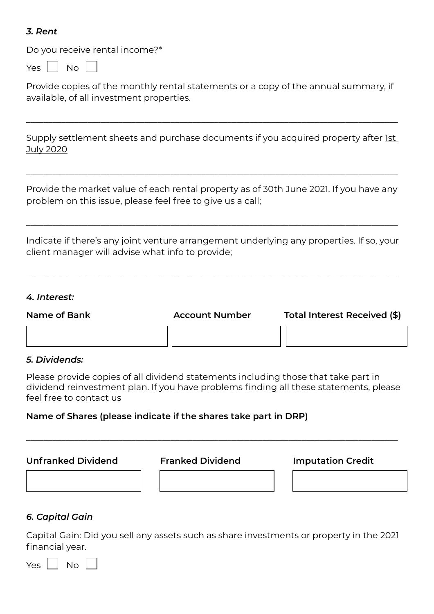## *3. Rent*

Do you receive rental income?\*

 $Yes \mid \mid No \mid$ 

Provide copies of the monthly rental statements or a copy of the annual summary, if available, of all investment properties.

Supply settlement sheets and purchase documents if you acquired property after 1st July 2020

\_\_\_\_\_\_\_\_\_\_\_\_\_\_\_\_\_\_\_\_\_\_\_\_\_\_\_\_\_\_\_\_\_\_\_\_\_\_\_\_\_\_\_\_\_\_\_\_\_\_\_\_\_\_\_\_\_\_\_\_\_\_\_\_\_\_\_\_\_\_\_\_\_\_\_\_\_\_\_\_\_\_\_\_\_

Provide the market value of each rental property as of 30th June 2021. If you have any problem on this issue, please feel free to give us a call;

\_\_\_\_\_\_\_\_\_\_\_\_\_\_\_\_\_\_\_\_\_\_\_\_\_\_\_\_\_\_\_\_\_\_\_\_\_\_\_\_\_\_\_\_\_\_\_\_\_\_\_\_\_\_\_\_\_\_\_\_\_\_\_\_\_\_\_\_\_\_\_\_\_\_\_\_\_\_\_\_\_\_\_\_\_

Indicate if there's any joint venture arrangement underlying any properties. If so, your client manager will advise what info to provide;

\_\_\_\_\_\_\_\_\_\_\_\_\_\_\_\_\_\_\_\_\_\_\_\_\_\_\_\_\_\_\_\_\_\_\_\_\_\_\_\_\_\_\_\_\_\_\_\_\_\_\_\_\_\_\_\_\_\_\_\_\_\_\_\_\_\_\_\_\_\_\_\_\_\_\_\_\_\_\_\_\_\_\_\_\_

\_\_\_\_\_\_\_\_\_\_\_\_\_\_\_\_\_\_\_\_\_\_\_\_\_\_\_\_\_\_\_\_\_\_\_\_\_\_\_\_\_\_\_\_\_\_\_\_\_\_\_\_\_\_\_\_\_\_\_\_\_\_\_\_\_\_\_\_\_\_\_\_\_\_\_\_\_\_\_\_\_\_\_\_\_

#### *4. Interest:*

**Name of Bank Account Number Total Interest Received (\$)**

# *5. Dividends:*

Please provide copies of all dividend statements including those that take part in dividend reinvestment plan. If you have problems finding all these statements, please feel free to contact us

\_\_\_\_\_\_\_\_\_\_\_\_\_\_\_\_\_\_\_\_\_\_\_\_\_\_\_\_\_\_\_\_\_\_\_\_\_\_\_\_\_\_\_\_\_\_\_\_\_\_\_\_\_\_\_\_\_\_\_\_\_\_\_\_\_\_\_\_\_\_\_\_\_\_\_\_\_\_\_\_\_\_\_\_\_

# **Name of Shares (please indicate if the shares take part in DRP)**

**Unfranked Dividend Franked Dividend Imputation Credit**

#### *6. Capital Gain*

Capital Gain: Did you sell any assets such as share investments or property in the 2021 financial year.

 $Yes \mid \mid No \mid$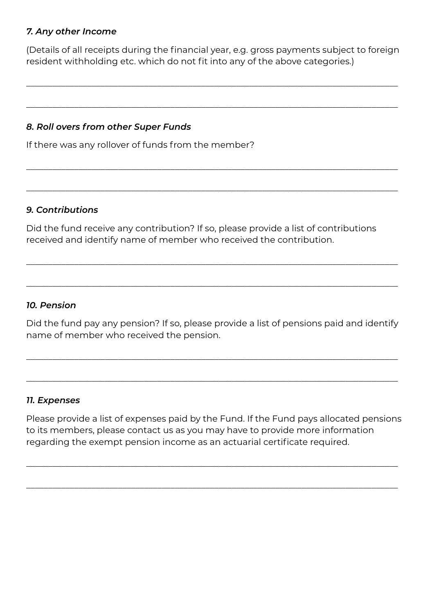## *7. Any other Income*

(Details of all receipts during the financial year, e.g. gross payments subject to foreign resident withholding etc. which do not fit into any of the above categories.)

\_\_\_\_\_\_\_\_\_\_\_\_\_\_\_\_\_\_\_\_\_\_\_\_\_\_\_\_\_\_\_\_\_\_\_\_\_\_\_\_\_\_\_\_\_\_\_\_\_\_\_\_\_\_\_\_\_\_\_\_\_\_\_\_\_\_\_\_\_\_\_\_\_\_\_\_\_\_\_\_\_\_\_\_\_

\_\_\_\_\_\_\_\_\_\_\_\_\_\_\_\_\_\_\_\_\_\_\_\_\_\_\_\_\_\_\_\_\_\_\_\_\_\_\_\_\_\_\_\_\_\_\_\_\_\_\_\_\_\_\_\_\_\_\_\_\_\_\_\_\_\_\_\_\_\_\_\_\_\_\_\_\_\_\_\_\_\_\_\_\_

\_\_\_\_\_\_\_\_\_\_\_\_\_\_\_\_\_\_\_\_\_\_\_\_\_\_\_\_\_\_\_\_\_\_\_\_\_\_\_\_\_\_\_\_\_\_\_\_\_\_\_\_\_\_\_\_\_\_\_\_\_\_\_\_\_\_\_\_\_\_\_\_\_\_\_\_\_\_\_\_\_\_\_\_\_

\_\_\_\_\_\_\_\_\_\_\_\_\_\_\_\_\_\_\_\_\_\_\_\_\_\_\_\_\_\_\_\_\_\_\_\_\_\_\_\_\_\_\_\_\_\_\_\_\_\_\_\_\_\_\_\_\_\_\_\_\_\_\_\_\_\_\_\_\_\_\_\_\_\_\_\_\_\_\_\_\_\_\_\_\_

# *8. Roll overs from other Super Funds*

If there was any rollover of funds from the member?

## *9. Contributions*

Did the fund receive any contribution? If so, please provide a list of contributions received and identify name of member who received the contribution.

## *10. Pension*

Did the fund pay any pension? If so, please provide a list of pensions paid and identify name of member who received the pension.

\_\_\_\_\_\_\_\_\_\_\_\_\_\_\_\_\_\_\_\_\_\_\_\_\_\_\_\_\_\_\_\_\_\_\_\_\_\_\_\_\_\_\_\_\_\_\_\_\_\_\_\_\_\_\_\_\_\_\_\_\_\_\_\_\_\_\_\_\_\_\_\_\_\_\_\_\_\_\_\_\_\_\_\_\_

\_\_\_\_\_\_\_\_\_\_\_\_\_\_\_\_\_\_\_\_\_\_\_\_\_\_\_\_\_\_\_\_\_\_\_\_\_\_\_\_\_\_\_\_\_\_\_\_\_\_\_\_\_\_\_\_\_\_\_\_\_\_\_\_\_\_\_\_\_\_\_\_\_\_\_\_\_\_\_\_\_\_\_\_\_

\_\_\_\_\_\_\_\_\_\_\_\_\_\_\_\_\_\_\_\_\_\_\_\_\_\_\_\_\_\_\_\_\_\_\_\_\_\_\_\_\_\_\_\_\_\_\_\_\_\_\_\_\_\_\_\_\_\_\_\_\_\_\_\_\_\_\_\_\_\_\_\_\_\_\_\_\_\_\_\_\_\_\_\_\_

\_\_\_\_\_\_\_\_\_\_\_\_\_\_\_\_\_\_\_\_\_\_\_\_\_\_\_\_\_\_\_\_\_\_\_\_\_\_\_\_\_\_\_\_\_\_\_\_\_\_\_\_\_\_\_\_\_\_\_\_\_\_\_\_\_\_\_\_\_\_\_\_\_\_\_\_\_\_\_\_\_\_\_\_\_

#### *11. Expenses*

Please provide a list of expenses paid by the Fund. If the Fund pays allocated pensions to its members, please contact us as you may have to provide more information regarding the exempt pension income as an actuarial certificate required.

\_\_\_\_\_\_\_\_\_\_\_\_\_\_\_\_\_\_\_\_\_\_\_\_\_\_\_\_\_\_\_\_\_\_\_\_\_\_\_\_\_\_\_\_\_\_\_\_\_\_\_\_\_\_\_\_\_\_\_\_\_\_\_\_\_\_\_\_\_\_\_\_\_\_\_\_\_\_\_\_\_\_\_\_\_

\_\_\_\_\_\_\_\_\_\_\_\_\_\_\_\_\_\_\_\_\_\_\_\_\_\_\_\_\_\_\_\_\_\_\_\_\_\_\_\_\_\_\_\_\_\_\_\_\_\_\_\_\_\_\_\_\_\_\_\_\_\_\_\_\_\_\_\_\_\_\_\_\_\_\_\_\_\_\_\_\_\_\_\_\_